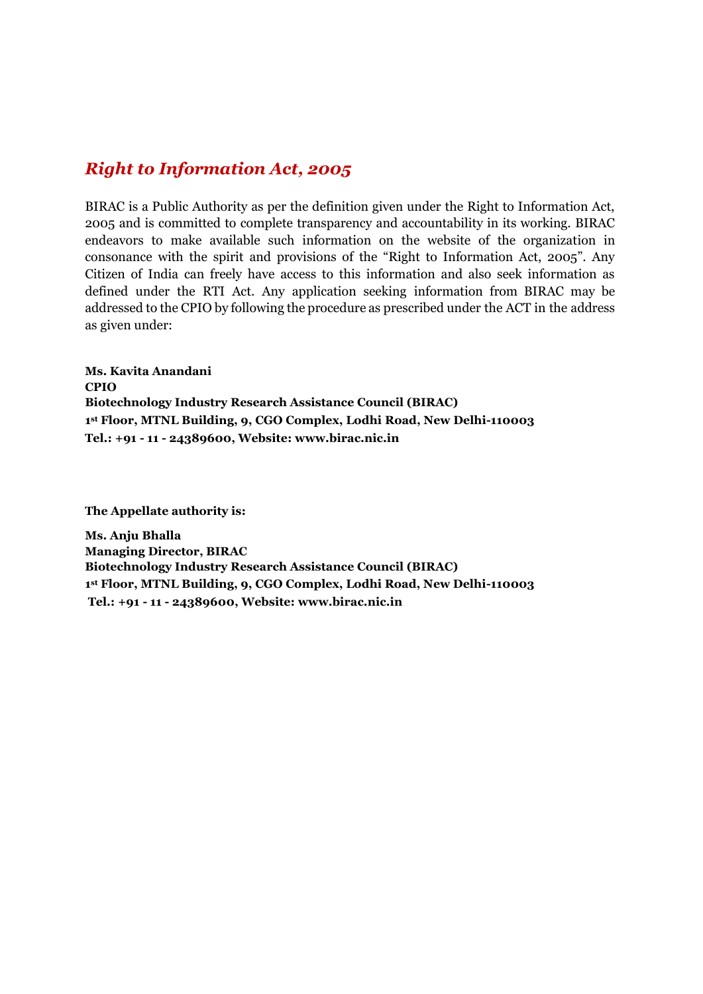#### *Right to Information Act, 2005*

BIRAC is a Public Authority as per the definition given under the Right to Information Act, 2005 and is committed to complete transparency and accountability in its working. BIRAC endeavors to make available such information on the website of the organization in consonance with the spirit and provisions of the "Right to Information Act, 2005". Any Citizen of India can freely have access to this information and also seek information as defined under the RTI Act. Any application seeking information from BIRAC may be addressed to the CPIO by following the procedure as prescribed under the ACT in the address as given under:

**Ms. Kavita Anandani CPIO Biotechnology Industry Research Assistance Council (BIRAC) 1 st Floor, MTNL Building, 9, CGO Complex, Lodhi Road, New Delhi-110003 Tel.: +91 - 11 - 24389600, Website: [www.birac.nic.in](http://www.birac.nic.in/)**

**The Appellate authority is:** 

**Ms. Anju Bhalla Managing Director, BIRAC Biotechnology Industry Research Assistance Council (BIRAC) 1 st Floor, MTNL Building, 9, CGO Complex, Lodhi Road, New Delhi-110003 Tel.: +91 - 11 - 24389600, Website: [www.birac.nic.in](http://www.birac.nic.in/)**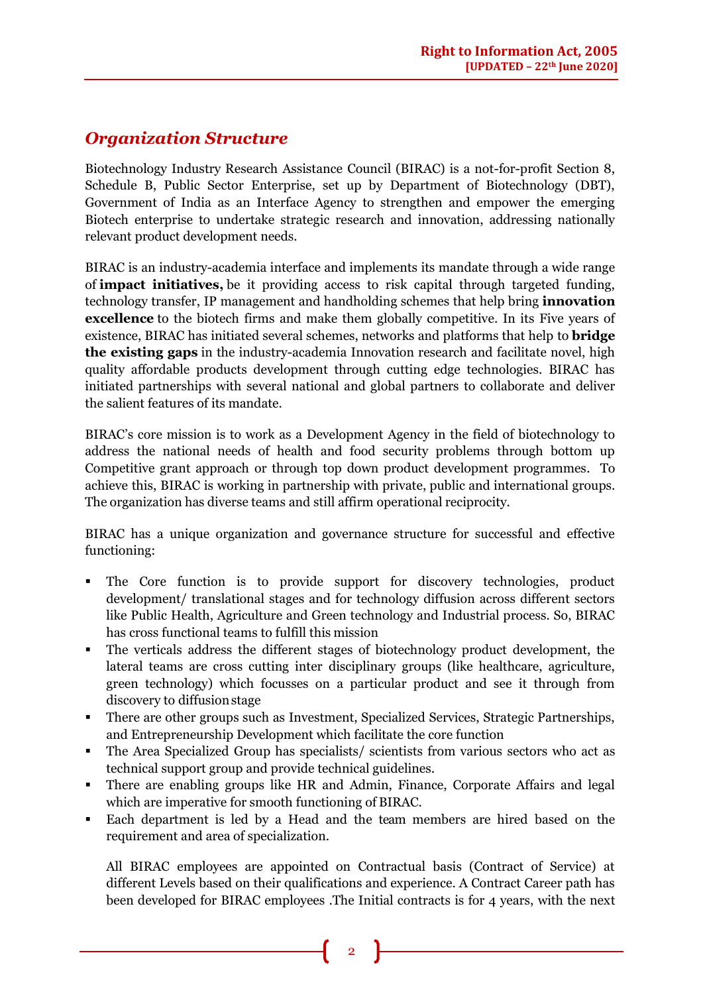## *Organization Structure*

Biotechnology Industry Research Assistance Council (BIRAC) is a not-for-profit Section 8, Schedule B, Public Sector Enterprise, set up by Department of Biotechnology (DBT), Government of India as an Interface Agency to strengthen and empower the emerging Biotech enterprise to undertake strategic research and innovation, addressing nationally relevant product development needs.

BIRAC is an industry-academia interface and implements its mandate through a wide range of **impact initiatives,** be it providing access to risk capital through targeted funding, technology transfer, IP management and handholding schemes that help bring **innovation excellence** to the biotech firms and make them globally competitive. In its Five years of existence, BIRAC has initiated several schemes, networks and platforms that help to **bridge the existing gaps** in the industry-academia Innovation research and facilitate novel, high quality affordable products development through cutting edge technologies. BIRAC has initiated partnerships with several national and global partners to collaborate and deliver the salient features of its mandate.

BIRAC's core mission is to work as a Development Agency in the field of biotechnology to address the national needs of health and food security problems through bottom up Competitive grant approach or through top down product development programmes. To achieve this, BIRAC is working in partnership with private, public and international groups. The organization has diverse teams and still affirm operational reciprocity.

BIRAC has a unique organization and governance structure for successful and effective functioning:

- The Core function is to provide support for discovery technologies, product development/ translational stages and for technology diffusion across different sectors like Public Health, Agriculture and Green technology and Industrial process. So, BIRAC has cross functional teams to fulfill this mission
- The verticals address the different stages of biotechnology product development, the lateral teams are cross cutting inter disciplinary groups (like healthcare, agriculture, green technology) which focusses on a particular product and see it through from discovery to diffusion stage
- There are other groups such as Investment, Specialized Services, Strategic Partnerships, and Entrepreneurship Development which facilitate the core function
- The Area Specialized Group has specialists/ scientists from various sectors who act as technical support group and provide technical guidelines.
- There are enabling groups like HR and Admin, Finance, Corporate Affairs and legal which are imperative for smooth functioning of BIRAC.
- Each department is led by a Head and the team members are hired based on the requirement and area of specialization.

All BIRAC employees are appointed on Contractual basis (Contract of Service) at different Levels based on their qualifications and experience. A Contract Career path has been developed for BIRAC employees .The Initial contracts is for 4 years, with the next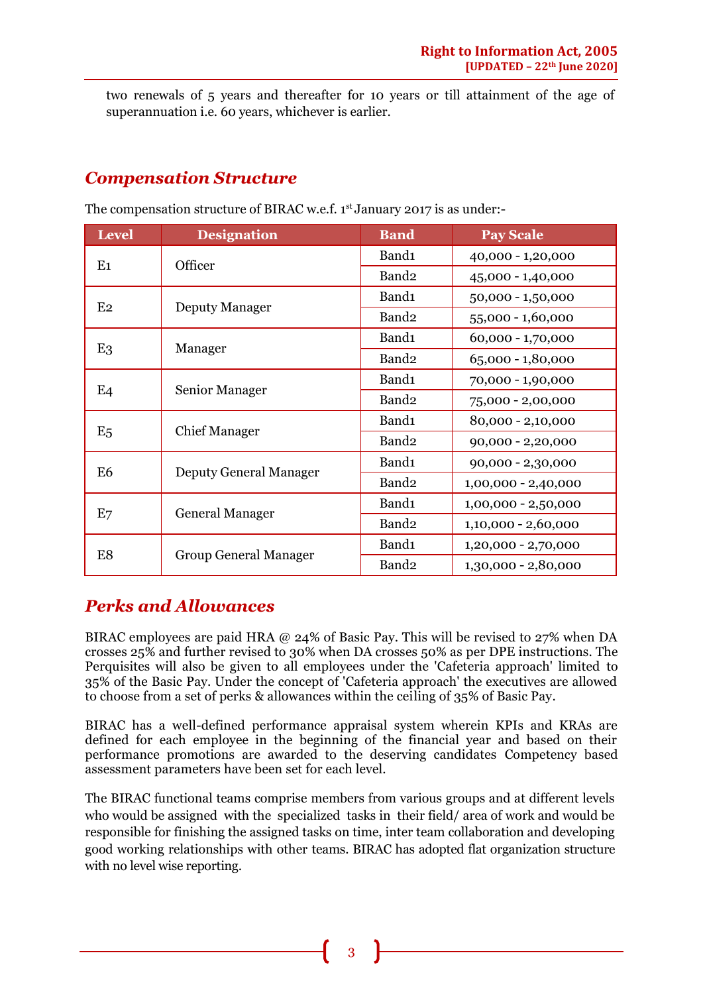two renewals of 5 years and thereafter for 10 years or till attainment of the age of superannuation i.e. 60 years, whichever is earlier.

## *Compensation Structure*

| <b>Level</b>   | <b>Designation</b>            | <b>Band</b>       | <b>Pay Scale</b>      |
|----------------|-------------------------------|-------------------|-----------------------|
| E1             | Officer                       | Band <sub>1</sub> | 40,000 - 1,20,000     |
|                |                               | Band <sub>2</sub> | 45,000 - 1,40,000     |
| E <sub>2</sub> | <b>Deputy Manager</b>         | Band1             | 50,000 - 1,50,000     |
|                |                               | Band <sub>2</sub> | 55,000 - 1,60,000     |
| E <sub>3</sub> | Manager                       | Band <sub>1</sub> | $60,000 - 1,70,000$   |
|                |                               | Band <sub>2</sub> | 65,000 - 1,80,000     |
| E <sub>4</sub> | Senior Manager                | Band1             | 70,000 - 1,90,000     |
|                |                               | Band <sub>2</sub> | 75,000 - 2,00,000     |
| E <sub>5</sub> | <b>Chief Manager</b>          | Band <sub>1</sub> | 80,000 - 2,10,000     |
|                |                               | Band <sub>2</sub> | $90,000 - 2,20,000$   |
| E <sub>6</sub> | <b>Deputy General Manager</b> | Band <sub>1</sub> | 90,000 - 2,30,000     |
|                |                               | Band <sub>2</sub> | $1,00,000 - 2,40,000$ |
| E7             | <b>General Manager</b>        | Band1             | $1,00,000 - 2,50,000$ |
|                |                               | Band <sub>2</sub> | $1,10,000 - 2,60,000$ |
| E8             | <b>Group General Manager</b>  | Band1             | $1,20,000 - 2,70,000$ |
|                |                               | Band <sub>2</sub> | 1,30,000 - 2,80,000   |

The compensation structure of BIRAC w.e.f. 1<sup>st</sup> January 2017 is as under:-

## *Perks and Allowances*

BIRAC employees are paid HRA @ 24% of Basic Pay. This will be revised to 27% when DA crosses 25% and further revised to 30% when DA crosses 50% as per DPE instructions. The Perquisites will also be given to all employees under the 'Cafeteria approach' limited to 35% of the Basic Pay. Under the concept of 'Cafeteria approach' the executives are allowed to choose from a set of perks & allowances within the ceiling of 35% of Basic Pay.

BIRAC has a well-defined performance appraisal system wherein KPIs and KRAs are defined for each employee in the beginning of the financial year and based on their performance promotions are awarded to the deserving candidates Competency based assessment parameters have been set for each level.

The BIRAC functional teams comprise members from various groups and at different levels who would be assigned with the specialized tasks in their field/ area of work and would be responsible for finishing the assigned tasks on time, inter team collaboration and developing good working relationships with other teams. BIRAC has adopted flat organization structure with no level wise reporting.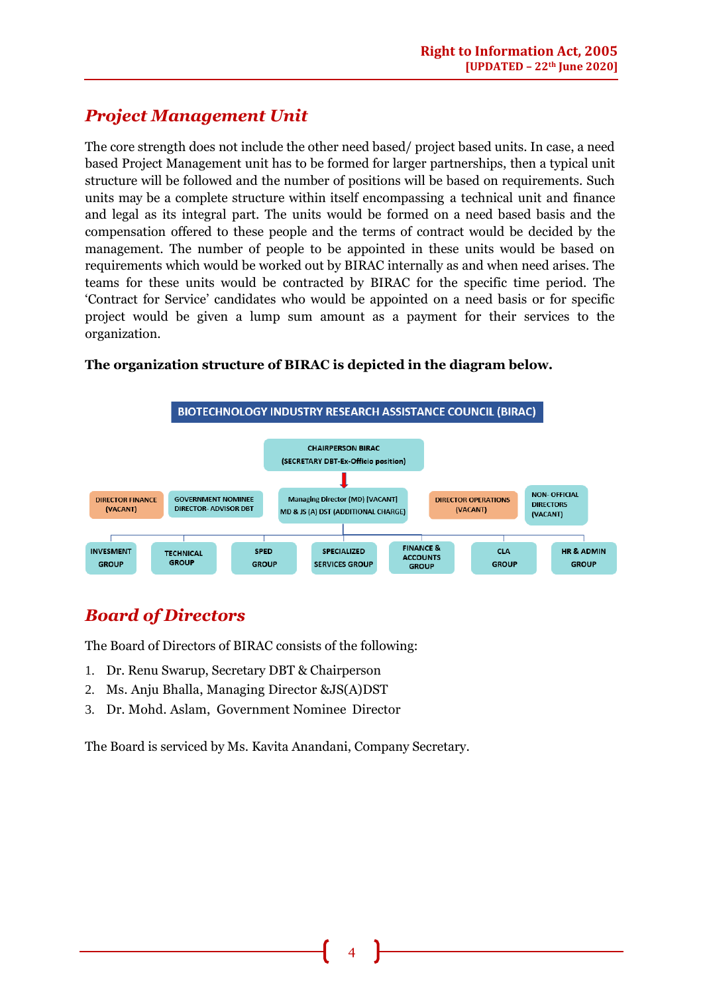## *Project Management Unit*

The core strength does not include the other need based/ project based units. In case, a need based Project Management unit has to be formed for larger partnerships, then a typical unit structure will be followed and the number of positions will be based on requirements. Such units may be a complete structure within itself encompassing a technical unit and finance and legal as its integral part. The units would be formed on a need based basis and the compensation offered to these people and the terms of contract would be decided by the management. The number of people to be appointed in these units would be based on requirements which would be worked out by BIRAC internally as and when need arises. The teams for these units would be contracted by BIRAC for the specific time period. The 'Contract for Service' candidates who would be appointed on a need basis or for specific project would be given a lump sum amount as a payment for their services to the organization.



#### **The organization structure of BIRAC is depicted in the diagram below.**

## *Board of Directors*

The Board of Directors of BIRAC consists of the following:

- 1. Dr. Renu Swarup, Secretary DBT & Chairperson
- 2. Ms. Anju Bhalla, Managing Director &JS(A)DST
- 3. Dr. Mohd. Aslam, Government Nominee Director

The Board is serviced by Ms. Kavita Anandani, Company Secretary.

4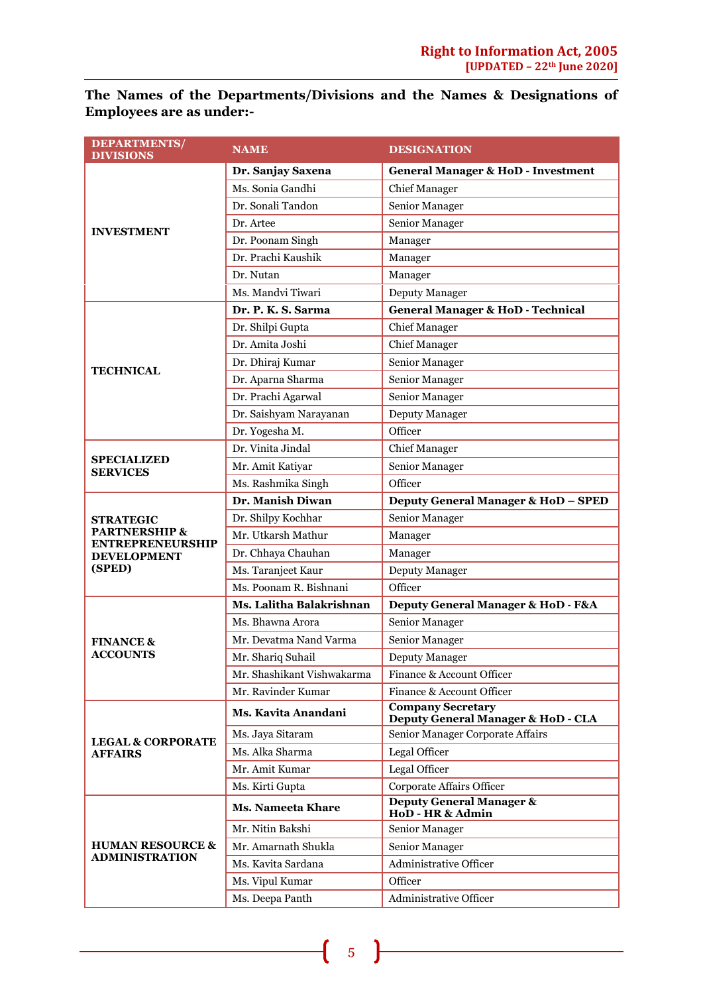**The Names of the Departments/Divisions and the Names & Designations of Employees are as under:-** 

| <b>DEPARTMENTS/</b><br><b>DIVISIONS</b>             | <b>NAME</b>                | <b>DESIGNATION</b>                                             |  |
|-----------------------------------------------------|----------------------------|----------------------------------------------------------------|--|
|                                                     | Dr. Sanjay Saxena          | <b>General Manager &amp; HoD - Investment</b>                  |  |
|                                                     | Ms. Sonia Gandhi           | <b>Chief Manager</b>                                           |  |
|                                                     | Dr. Sonali Tandon          | Senior Manager                                                 |  |
|                                                     | Dr. Artee                  | Senior Manager                                                 |  |
| <b>INVESTMENT</b>                                   | Dr. Poonam Singh           | Manager                                                        |  |
|                                                     | Dr. Prachi Kaushik         | Manager                                                        |  |
|                                                     | Dr. Nutan                  | Manager                                                        |  |
|                                                     | Ms. Mandvi Tiwari          | Deputy Manager                                                 |  |
|                                                     | Dr. P. K. S. Sarma         | <b>General Manager &amp; HoD - Technical</b>                   |  |
|                                                     | Dr. Shilpi Gupta           | <b>Chief Manager</b>                                           |  |
|                                                     | Dr. Amita Joshi            | <b>Chief Manager</b>                                           |  |
| <b>TECHNICAL</b>                                    | Dr. Dhiraj Kumar           | Senior Manager                                                 |  |
|                                                     | Dr. Aparna Sharma          | Senior Manager                                                 |  |
|                                                     | Dr. Prachi Agarwal         | Senior Manager                                                 |  |
|                                                     | Dr. Saishyam Narayanan     | Deputy Manager                                                 |  |
|                                                     | Dr. Yogesha M.             | Officer                                                        |  |
|                                                     | Dr. Vinita Jindal          | <b>Chief Manager</b>                                           |  |
| <b>SPECIALIZED</b><br><b>SERVICES</b>               | Mr. Amit Katiyar           | Senior Manager                                                 |  |
|                                                     | Ms. Rashmika Singh         | Officer                                                        |  |
|                                                     | Dr. Manish Diwan           | Deputy General Manager & HoD - SPED                            |  |
| <b>STRATEGIC</b>                                    | Dr. Shilpy Kochhar         | Senior Manager                                                 |  |
| <b>PARTNERSHIP &amp;</b><br><b>ENTREPRENEURSHIP</b> | Mr. Utkarsh Mathur         | Manager                                                        |  |
| <b>DEVELOPMENT</b>                                  | Dr. Chhaya Chauhan         | Manager                                                        |  |
| (SPED)                                              | Ms. Taranjeet Kaur         | Deputy Manager                                                 |  |
|                                                     | Ms. Poonam R. Bishnani     | Officer                                                        |  |
|                                                     | Ms. Lalitha Balakrishnan   | Deputy General Manager & HoD - F&A                             |  |
|                                                     | Ms. Bhawna Arora           | Senior Manager                                                 |  |
| <b>FINANCE &amp;</b>                                | Mr. Devatma Nand Varma     | Senior Manager                                                 |  |
| <b>ACCOUNTS</b>                                     | Mr. Shariq Suhail          | Deputy Manager                                                 |  |
|                                                     | Mr. Shashikant Vishwakarma | Finance & Account Officer                                      |  |
|                                                     | Mr. Ravinder Kumar         | Finance & Account Officer                                      |  |
|                                                     | Ms. Kavita Anandani        | <b>Company Secretary</b><br>Deputy General Manager & HoD - CLA |  |
| <b>LEGAL &amp; CORPORATE</b>                        | Ms. Jaya Sitaram           | Senior Manager Corporate Affairs                               |  |
| <b>AFFAIRS</b>                                      | Ms. Alka Sharma            | Legal Officer                                                  |  |
|                                                     | Mr. Amit Kumar             | Legal Officer                                                  |  |
|                                                     | Ms. Kirti Gupta            | Corporate Affairs Officer                                      |  |
|                                                     | <b>Ms. Nameeta Khare</b>   | <b>Deputy General Manager &amp;</b><br>HoD - HR & Admin        |  |
|                                                     | Mr. Nitin Bakshi           | Senior Manager                                                 |  |
| <b>HUMAN RESOURCE &amp;</b>                         | Mr. Amarnath Shukla        | Senior Manager                                                 |  |
| <b>ADMINISTRATION</b>                               | Ms. Kavita Sardana         | <b>Administrative Officer</b>                                  |  |
|                                                     | Ms. Vipul Kumar            | Officer                                                        |  |
|                                                     | Ms. Deepa Panth            | <b>Administrative Officer</b>                                  |  |